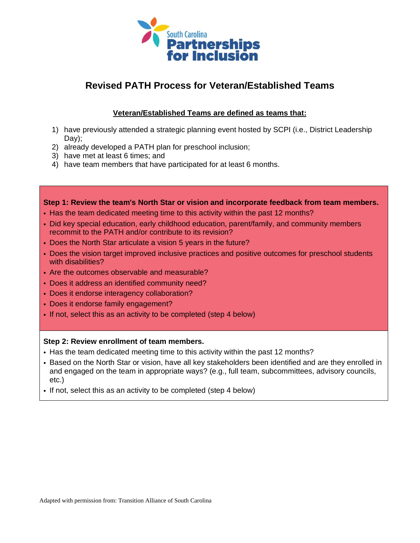

# **Revised PATH Process for Veteran/Established Teams**

## **Veteran/Established Teams are defined as teams that:**

- 1) have previously attended a strategic planning event hosted by SCPI (i.e., District Leadership Day);
- 2) already developed a PATH plan for preschool inclusion;
- 3) have met at least 6 times; and
- 4) have team members that have participated for at least 6 months.

**Step 1: Review the team's North Star or vision and incorporate feedback from team members.** • Has the team dedicated meeting time to this activity within the past 12 months?

- Did key special education, early childhood education, parent/family, and community members recommit to the PATH and/or contribute to its revision?
- Does the North Star articulate a vision 5 years in the future?
- Does the vision target improved inclusive practices and positive outcomes for preschool students with disabilities?
- Are the outcomes observable and measurable?
- Does it address an identified community need?
- Does it endorse interagency collaboration?
- Does it endorse family engagement?
- If not, select this as an activity to be completed (step 4 below)

### **Step 2: Review enrollment of team members.**

- Has the team dedicated meeting time to this activity within the past 12 months?
- Based on the North Star or vision, have all key stakeholders been identified and are they enrolled in and engaged on the team in appropriate ways? (e.g., full team, subcommittees, advisory councils, etc.)
- If not, select this as an activity to be completed (step 4 below)